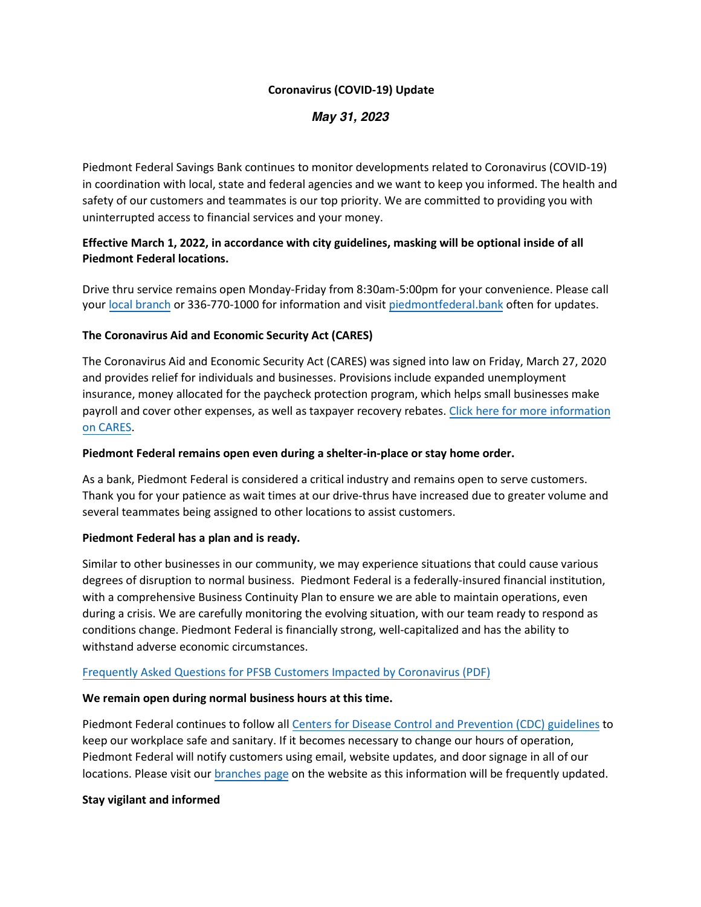#### **Coronavirus (COVID-19) Update**

# **May 31, 2023**

Piedmont Federal Savings Bank continues to monitor developments related to Coronavirus (COVID-19) in coordination with local, state and federal agencies and we want to keep you informed. The health and safety of our customers and teammates is our top priority. We are committed to providing you with uninterrupted access to financial services and your money.

## **Effective March 1, 2022, in accordance with city guidelines, masking will be optional inside of all Piedmont Federal locations.**

Drive thru service remains open Monday-Friday from 8:30am-5:00pm for your convenience. Please call your [local branch](https://www.piedmontfederal.bank/atms-branches/) or 336-770-1000 for information and visit [piedmontfederal.bank](https://www.piedmontfederal.cbank/) often for updates.

### **The Coronavirus Aid and Economic Security Act (CARES)**

The Coronavirus Aid and Economic Security Act (CARES) was signed into law on Friday, March 27, 2020 and provides relief for individuals and businesses. Provisions include expanded unemployment insurance, money allocated for the paycheck protection program, which helps small businesses make payroll and cover other expenses, as well as taxpayer recovery rebates[. Click here for more information](https://www.piedmontfederal.bank/pdf/announcements/CARES_Section-by-Section_FINAL.pdf) [on CARES.](https://www.piedmontfederal.bank/pdf/announcements/CARES_Section-by-Section_FINAL.pdf)

### **Piedmont Federal remains open even during a shelter-in-place or stay home order.**

As a bank, Piedmont Federal is considered a critical industry and remains open to serve customers. Thank you for your patience as wait times at our drive-thrus have increased due to greater volume and several teammates being assigned to other locations to assist customers.

## **Piedmont Federal has a plan and is ready.**

Similar to other businesses in our community, we may experience situations that could cause various degrees of disruption to normal business. Piedmont Federal is a federally-insured financial institution, with a comprehensive Business Continuity Plan to ensure we are able to maintain operations, even during a crisis. We are carefully monitoring the evolving situation, with our team ready to respond as conditions change. Piedmont Federal is financially strong, well-capitalized and has the ability to withstand adverse economic circumstances.

## [Frequently Asked Questions for PFSB Customers Impacted by Coronavirus \(PDF\)](https://www.piedmontfederal.bank/pdf/announcements/FAQs-for-PFSB-Customers-Impacted-by-Coronavirus-20200327.pdf)

## **We remain open during normal business hours at this time.**

Piedmont Federal continues to follow all [Centers for Disease Control and Prevention \(CDC\) guidelines](https://www.cdc.gov/coronavirus/2019-ncov/index.html) to keep our workplace safe and sanitary. If it becomes necessary to change our hours of operation, Piedmont Federal will notify customers using email, website updates, and door signage in all of our locations. Please visit our [branches page](https://www.piedmontfederal.bank/atms-branches/) on the website as this information will be frequently updated.

#### **Stay vigilant and informed**